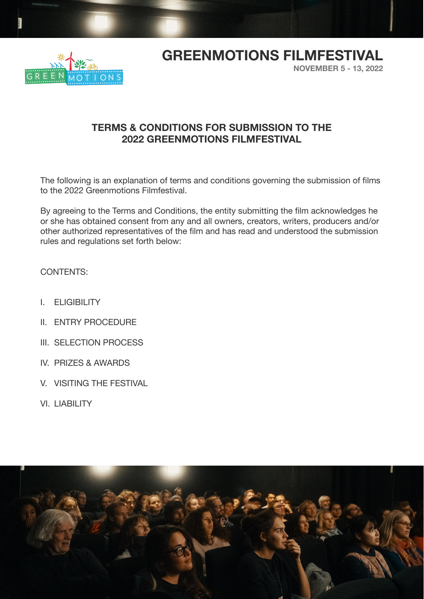

## **GREENMOTIONS FILMFESTIVAL**

**NOVEMBER 5 - 13, 2022**

### **TERMS & CONDITIONS FOR SUBMISSION TO THE 2022 GREENMOTIONS FILMFESTIVAL**

The following is an explanation of terms and conditions governing the submission of films to the 2022 Greenmotions Filmfestival.

By agreeing to the Terms and Conditions, the entity submitting the film acknowledges he or she has obtained consent from any and all owners, creators, writers, producers and/or other authorized representatives of the film and has read and understood the submission rules and regulations set forth below:

CONTENTS:

- I. ELIGIBILITY
- II. ENTRY PROCEDURE
- III. SELECTION PROCESS
- IV. PRIZES & AWARDS
- V. VISITING THE FESTIVAL
- VI. LIABILITY

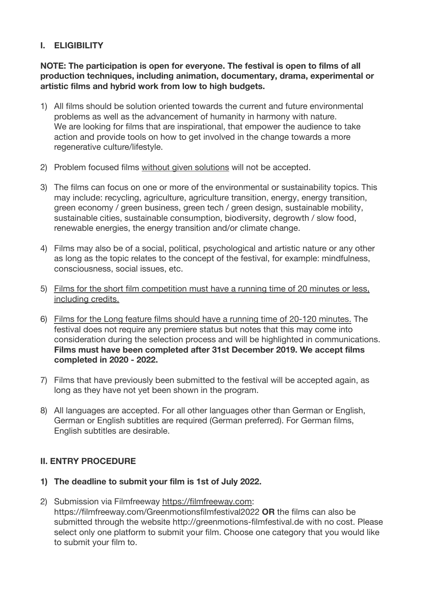#### **I. ELIGIBILITY**

**NOTE: The participation is open for everyone. The festival is open to films of all production techniques, including animation, documentary, drama, experimental or artistic films and hybrid work from low to high budgets.**

- 1) All films should be solution oriented towards the current and future environmental problems as well as the advancement of humanity in harmony with nature. We are looking for films that are inspirational, that empower the audience to take action and provide tools on how to get involved in the change towards a more regenerative culture/lifestyle.
- 2) Problem focused films without given solutions will not be accepted.
- 3) The films can focus on one or more of the environmental or sustainability topics. This may include: recycling, agriculture, agriculture transition, energy, energy transition, green economy / green business, green tech / green design, sustainable mobility, sustainable cities, sustainable consumption, biodiversity, degrowth / slow food, renewable energies, the energy transition and/or climate change.
- 4) Films may also be of a social, political, psychological and artistic nature or any other as long as the topic relates to the concept of the festival, for example: mindfulness, consciousness, social issues, etc.
- 5) Films for the short film competition must have a running time of 20 minutes or less, including credits.
- 6) Films for the Long feature films should have a running time of 20-120 minutes. The festival does not require any premiere status but notes that this may come into consideration during the selection process and will be highlighted in communications. **Films must have been completed after 31st December 2019. We accept films completed in 2020 - 2022.**
- 7) Films that have previously been submitted to the festival will be accepted again, as long as they have not yet been shown in the program.
- 8) All languages are accepted. For all other languages other than German or English, German or English subtitles are required (German preferred). For German films, English subtitles are desirable.

#### **II. ENTRY PROCEDURE**

- **1) The deadline to submit your film is 1st of July 2022.**
- 2) Submission via Filmfreeway <https://filmfreeway.com>: https://filmfreeway.com/Greenmotionsfilmfestival2022 **OR** the films can also be submitted through the website http://greenmotions-filmfestival.de with no cost. Please select only one platform to submit your film. Choose one category that you would like to submit your film to.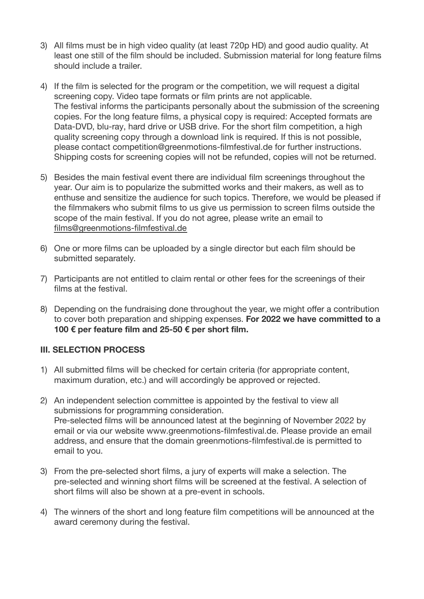- 3) All films must be in high video quality (at least 720p HD) and good audio quality. At least one still of the film should be included. Submission material for long feature films should include a trailer.
- 4) If the film is selected for the program or the competition, we will request a digital screening copy. Video tape formats or film prints are not applicable. The festival informs the participants personally about the submission of the screening copies. For the long feature films, a physical copy is required: Accepted formats are Data-DVD, blu-ray, hard drive or USB drive. For the short film competition, a high quality screening copy through a download link is required. If this is not possible, please contact competition@greenmotions-filmfestival.de for further instructions. Shipping costs for screening copies will not be refunded, copies will not be returned.
- 5) Besides the main festival event there are individual film screenings throughout the year. Our aim is to popularize the submitted works and their makers, as well as to enthuse and sensitize the audience for such topics. Therefore, we would be pleased if the filmmakers who submit films to us give us permission to screen films outside the scope of the main festival. If you do not agree, please write an email to [films@greenmotions-filmfestival.de](mailto:films@greenmotions-filmfestival.de)
- 6) One or more films can be uploaded by a single director but each film should be submitted separately.
- 7) Participants are not entitled to claim rental or other fees for the screenings of their films at the festival.
- 8) Depending on the fundraising done throughout the year, we might offer a contribution to cover both preparation and shipping expenses. **For 2022 we have committed to a 100 € per feature film and 25-50 € per short film.**

#### **III. SELECTION PROCESS**

- 1) All submitted films will be checked for certain criteria (for appropriate content, maximum duration, etc.) and will accordingly be approved or rejected.
- 2) An independent selection committee is appointed by the festival to view all submissions for programming consideration. Pre-selected films will be announced latest at the beginning of November 2022 by email or via our website www.greenmotions-filmfestival.de. Please provide an email address, and ensure that the domain greenmotions-filmfestival.de is permitted to email to you.
- 3) From the pre-selected short films, a jury of experts will make a selection. The pre-selected and winning short films will be screened at the festival. A selection of short films will also be shown at a pre-event in schools.
- 4) The winners of the short and long feature film competitions will be announced at the award ceremony during the festival.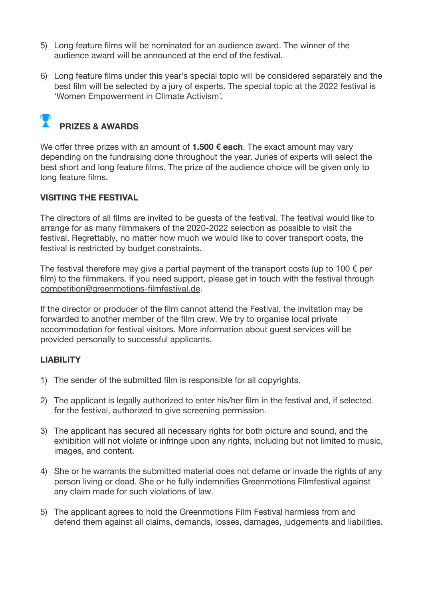- 5) Long feature films will be nominated for an audience award. The winner of the audience award will be announced at the end of the festival.
- 6) Long feature films under this year's special topic will be considered separately and the best film will be selected by a jury of experts. The special topic at the 2022 festival is 'Women Empowerment in Climate Activism'.

# **PRIZES & AWARDS**

We offer three prizes with an amount of **1.500 € each**. The exact amount may vary depending on the fundraising done throughout the year. Juries of experts will select the best short and long feature films. The prize of the audience choice will be given only to long feature films.

#### **VISITING THE FESTIVAL**

The directors of all films are invited to be guests of the festival. The festival would like to arrange for as many filmmakers of the 2020-2022 selection as possible to visit the festival. Regrettably, no matter how much we would like to cover transport costs, the festival is restricted by budget constraints.

The festival therefore may give a partial payment of the transport costs (up to 100  $\epsilon$  per film) to the filmmakers. If you need support, please get in touch with the festival through [competition@greenmotions-filmfestival.de](mailto:competition@greenmotions-filmfestival.de).

If the director or producer of the film cannot attend the Festival, the invitation may be forwarded to another member of the film crew. We try to organise local private accommodation for festival visitors. More information about guest services will be provided personally to successful applicants.

#### **LIABILITY**

- 1) The sender of the submitted film is responsible for all copyrights.
- 2) The applicant is legally authorized to enter his/her film in the festival and, if selected for the festival, authorized to give screening permission.
- 3) The applicant has secured all necessary rights for both picture and sound, and the exhibition will not violate or infringe upon any rights, including but not limited to music, images, and content.
- 4) She or he warrants the submitted material does not defame or invade the rights of any person living or dead. She or he fully indemnifies Greenmotions Filmfestival against any claim made for such violations of law.
- 5) The applicant agrees to hold the Greenmotions Film Festival harmless from and defend them against all claims, demands, losses, damages, judgements and liabilities.